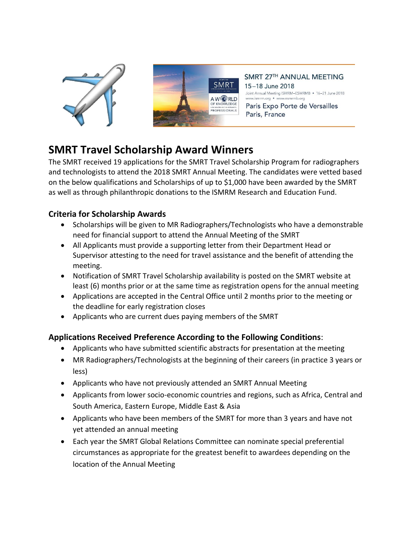



SMRT 27TH ANNUAL MEETING 15-18 June 2018 Joint Annual Meeting ISMRM-ESMRMB • 16-21 June 2018 www.ismrm.org • www.esmrmb.org

Paris Expo Porte de Versailles Paris, France

## **SMRT Travel Scholarship Award Winners**

The SMRT received 19 applications for the SMRT Travel Scholarship Program for radiographers and technologists to attend the 2018 SMRT Annual Meeting. The candidates were vetted based on the below qualifications and Scholarships of up to \$1,000 have been awarded by the SMRT as well as through philanthropic donations to the ISMRM Research and Education Fund.

## **Criteria for Scholarship Awards**

- Scholarships will be given to MR Radiographers/Technologists who have a demonstrable need for financial support to attend the Annual Meeting of the SMRT
- All Applicants must provide a supporting letter from their Department Head or Supervisor attesting to the need for travel assistance and the benefit of attending the meeting.
- Notification of SMRT Travel Scholarship availability is posted on the SMRT website at least (6) months prior or at the same time as registration opens for the annual meeting
- Applications are accepted in the Central Office until 2 months prior to the meeting or the deadline for early registration closes
- Applicants who are current dues paying members of the SMRT

## **Applications Received Preference According to the Following Conditions**:

- Applicants who have submitted scientific abstracts for presentation at the meeting
- MR Radiographers/Technologists at the beginning of their careers (in practice 3 years or less)
- Applicants who have not previously attended an SMRT Annual Meeting
- Applicants from lower socio-economic countries and regions, such as Africa, Central and South America, Eastern Europe, Middle East & Asia
- Applicants who have been members of the SMRT for more than 3 years and have not yet attended an annual meeting
- Each year the SMRT Global Relations Committee can nominate special preferential circumstances as appropriate for the greatest benefit to awardees depending on the location of the Annual Meeting